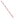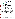# **THE ENVIRONMENTAL TECHNOLOGY VERIFICATION**







## **ETV Joint Verification Statement**

|                                   | TECHNOLOGY TYPE: RAPID TOXICITY TESTING SYSTEM             |             |                                     |  |  |  |
|-----------------------------------|------------------------------------------------------------|-------------|-------------------------------------|--|--|--|
| <b>APPLICATION:</b>               | DETECTING TOXICITY IN DRINKING WATER                       |             |                                     |  |  |  |
| <b>TECHNOLOGY NAME: Microtox®</b> |                                                            |             |                                     |  |  |  |
| <b>COMPANY:</b>                   | <b>Strategic Diagnostics Inc.</b>                          |             |                                     |  |  |  |
| <b>ADDRESS:</b>                   | <b>111 Pencader Drive</b><br><b>Newark, Delaware 19702</b> | <b>FAX:</b> | PHONE: 302-456-6789<br>302-456-6782 |  |  |  |
| <b>WEB SITE:</b>                  | http://www.sdix.com/                                       |             |                                     |  |  |  |
| $E\text{-}MAIL:$                  | bferguson@sdix.com                                         |             |                                     |  |  |  |

The U.S. Environmental Protection Agency (EPA) supports the Environmental Technology Verification (ETV) Program to facilitate the deployment of innovative or improved environmental technologies through performance verification and dissemination of information. The goal of the ETV Program is to further environmental protection by accelerating the acceptance and use of improved and cost-effective technologies. ETV seeks to achieve this goal by providing high-quality, peer-reviewed data on technology performance to those involved in the design, distribution, financing, permitting, purchase, and use of environmental technologies.

ETV works in partnership with recognized standards and testing organizations, with stakeholder groups (consisting of buyers, vendor organizations, and permitters), and with individual technology developers. The program evaluates the performance of innovative technologies by developing test plans that are responsive to the needs of stakeholders, conducting field or laboratory tests (as appropriate), collecting and analyzing data, and preparing peer-reviewed reports. All evaluations are conducted in accordance with rigorous quality assurance (QA) protocols to ensure that data of known and adequate quality are generated and that the results are defensible.

The Advanced Monitoring Systems (AMS) Center, one of seven technology areas under ETV, is operated by Battelle in cooperation with EPA's National Exposure Research Laboratory. The AMS Center has recently evaluated the performance of rapid toxicity testing systems used to detect toxicity in drinking water. This verification statement provides a summary of the test results for the Microtox® testing system.

### **VERIFICATION TEST DESCRIPTION**

Rapid toxicity technologies use bacteria, enzymes, or small crustaceans that produce light or use oxygen at a steady rate in the absence of toxic contaminants. Toxic contaminants in drinking water are indicated by a change in the color or intensity of light or by a change in the rate of oxygen use. As part of this verification test, which took place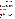between July 14 and August 22, 2003, various contaminants were added to separate drinking water samples and analyzed by Microtox®. Responses to interfering compounds in clean drinking water also were evaluated. Dechlorinated drinking water samples from Columbus, Ohio, (DDW) were fortified with contaminants at concentrations ranging from lethal levels to levels 1,000 times less than the lethal dose and analyzed. Endpoint and precision, toxicity threshold for each contaminant, false positive/negative responses, ease of use, and sample throughput were evaluated.

Inhibition results (endpoints) from four replicates of each contaminant at each concentration level were evaluated to assess the ability of the Microtox® to detect toxicity at various concentrations of contaminants, as well as to measure the precision of the Microtox<sup>®</sup> results. The response of Microtox<sup>®</sup> to compounds used during the water treatment process (interfering compounds) was evaluated by analyzing separate aliquots of DDW fortified with each potential interferent at approximately one-half of the concentration limit recommended by the EPA's National Secondary Drinking Water Regulations guidance. For analysis of by-products of the chlorination process, unspiked DDW was analyzed because Columbus, Ohio, uses chlorination as its disinfectant procedure. For the analysis of by-products of the chloramination process, a separate drinking water sample from St. Petersburg, Florida, which uses chloramination as its disinfection process, was obtained. The samples were analyzed after residual chlorine was removed using sodium thiosulfate. Sample throughput was measured based on the number of samples analyzed per hour. Ease of use and reliability were determined based on documented observations of the operators and the verification test coordinator.

Quality control samples included method blank samples, which consisted of American Society for Testing and Materials Type II deionized water; positive control samples fortified with zinc sulfate or phenol; and negative control samples, which consisted of the unspiked DDW.

QA oversight of verification testing was provided by Battelle and EPA. Battelle QA staff conducted a technical systems audit, a performance evaluation audit, and a data quality audit of 10% of the test data. EPA QA staff also performed a technical systems audit while testing was being conducted.

### **TECHNOLOGY DESCRIPTION**

The following description of Microtox<sup>®</sup> was provided by the vendor and was not subjected to verification in this test.

Microtox® is an *in vitro* testing system that uses bioluminescent bacteria to detect toxins in air, water, soil, and sediment. Microtox<sup>®</sup> is a metabolic inhibition test that provides both acute toxicity and genotoxic analyses. Microtox® uses a strain of naturally occurring luminescent bacteria,*Vibrio fischeri*. *Vibrio fischeri* are nonpathogenic, marine, luminescent bacteria that are sensitive to a wide range of toxicants. When properly grown, luminescent bacteria produce light as a by-product of their cellular respiration. Cell respiration is fundamental to cellular metabolism and all associated life processes. Bacterial bioluminescence is tied directly to cell respiration, and any inhibition of cellular activity (toxicity) results in a decreased rate of respiration and a corresponding decrease in the rate of luminescence.

The Microtox® Model 500 Analyzer was tested as a stand-alone instrument along with the Microtox® reagent. The *Vibrio fischeri* are supplied in a standard freeze-dried (lyophilized) state and, to analyze water samples, are reconstituted in a salt solution, 2.5 milliliters (mLs) of the water sample are diluted with 250 microliter ( $\mu$ L) of a Microtox<sup>®</sup> reagent, then approximately 1 mL of water sample is added to 100  $\mu$ L of the reconstituted bacteria. Luminescence readings are taken prior to adding the drinking water and then at 5 and 15 minutes after the addition. When analyzing unknown samples, it is recommended that inhibition data be collected at both time intervals to determine the most appropriate data collection time since the rates can vary depending on how the toxicant affects the bacteria. Results are displayed as absolute light units.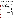To determine whether a contaminant caused detectable inhibition, the inhibition exhibited by drinking water spiked with a contaminant was compared to the inhibition exhibited by the unspiked drinking water. Four replicates of each spiked sample were analyzed. A result was considered positive if the inhibition of the water sample spiked with a contaminant plus or minus the standard deviation of four replicates did not include the inhibition of the unspiked drinking water.

The temperature-controlled Microtox<sup>®</sup> maintains the test organisms and samples at a standard temperature of 15 $°C$ . As such, the Microtox<sup>®</sup> must be operated in a laboratory setting at ambient temperatures of between 15 and 30°C. It detects light intensity at 490 nanometers, the wavelength emitted by the bacteria. Microtox® can be used with Microtox $^{\circledast}$ Omni™ software and a personal computer to collect, analyze, track, and store test data. Microtox $^{\circledast}$ weighs 21 pounds, measures 7-1/8 inches x 15-3/8 inches x 16-1/8 inches, and runs on 120/240 volts alternating current. Microtox<sup>®</sup> Model 500 costs \$17,895, and the reagents cost \$360 for approximately 200 samples.

#### **VERIFICATION OF PERFORMANCE**

**Endpoint and Precision/Toxicity Threshold:** The table below shows the Microtox® percent inhibition data and range of standards deviations for the contaminants and potential interferences that were tested. The toxicity thresholds also are shown for each contaminant tested.

|                                             |                                                   | Lethal<br>Dose (LD)<br>Conc. | <b>Average Inhibitions at Concentrations</b><br><b>Relative to the LD Concentration</b><br>(%) |          |                |                | <b>Range of</b><br><b>Standard</b><br><b>Deviations</b> | <b>Toxicity</b><br>Thresh. |
|---------------------------------------------|---------------------------------------------------|------------------------------|------------------------------------------------------------------------------------------------|----------|----------------|----------------|---------------------------------------------------------|----------------------------|
| Parameter                                   | Compound                                          | (mg/L)                       | LD                                                                                             | LD/10    | LD/100         | LD/1,000       | $(\%)$                                                  | (mg/L)                     |
| Contaminants in<br><b>DDW</b>               | Aldicarb                                          | 280                          | 81                                                                                             | 31       | $\overline{4}$ | 3              | $2 - 5$                                                 | 28                         |
|                                             | Colchicine                                        | 240                          | 12                                                                                             | 2        | 5              | 3              | $1 - 3$                                                 | 240                        |
|                                             | Cyanide                                           | 250                          | 100                                                                                            | 96       | 46             | 8              | $0 - 4$                                                 | 0.25                       |
|                                             | Dicrotophos                                       | 1,400                        | 80                                                                                             | 34       | 6              | $\overline{2}$ | $2 - 4$                                                 | 140                        |
|                                             | Thallium<br>sulfate                               | 2,400                        | 32                                                                                             | 17       | 6              | $\overline{4}$ | $1 - 6$                                                 | 240                        |
|                                             | <b>Botulinum</b><br>$\text{to}\,\text{xin}^{(a)}$ | 0.30                         | $-4$                                                                                           | $\theta$ | $-1$           | $-2$           | $1 - 5$                                                 | $ND^{(b)}$                 |
|                                             | Ricin <sup>(c)</sup>                              | 15                           | $-1$                                                                                           | $-4$     | $\Omega$       | $-2$           | $2 - 4$                                                 | <b>ND</b>                  |
|                                             | Soman                                             | $0.068^{(d)}$                | $\Omega$                                                                                       | $-2$     | $\overline{0}$ | $-4$           | $3 - 4$                                                 | ND                         |
|                                             | VX                                                | 0.22                         | 6                                                                                              | $-2$     | 9              | 3              | $2 - 18$                                                | ND                         |
|                                             | <b>Interference</b>                               | Conc.<br>(mg/L)              | <b>Average Inhibitions at a</b><br><b>Single Concentration</b><br>(%)                          |          |                |                | <b>Standard</b><br><b>Deviation</b><br>$(\%)$           |                            |
| Potential<br>interferences in<br><b>DDW</b> | Aluminum                                          | 0.36                         | 1                                                                                              |          |                |                | 5                                                       |                            |
|                                             | Copper                                            | 0.65                         | 61                                                                                             |          |                |                | $\mathbf{1}$                                            |                            |
|                                             | Iron                                              | 0.069                        | $-5$                                                                                           |          |                |                | $\overline{2}$                                          |                            |
|                                             | Manganese                                         | 0.26                         | 9                                                                                              |          |                |                | 3                                                       |                            |
|                                             | Zinc sulfate                                      | 3.5                          | 28                                                                                             |          |                |                |                                                         |                            |

 $\overline{a}$  Lethal dose solution also contained 3 mg/L phosphate and 1 mg/L sodium chloride.

 $(b)$  ND = Not detectable.

(c) Lethal dose solution also contained 3 mg/L phosphate, 26 mg/L sodium chloride, and 2 mg/L sodium azide.

 $<sup>(d)</sup>$  Due to the degradation of soman in water, the stock solution confirmation analysis confirmed that the concentration of</sup> the lethal dose was 23% of the expected concentration of 0.30 mg/L.

**False Positive/Negative Responses:** There was nearly complete inhibition (false positive responses) in dechlorinated water disinfected by chloramination. Therefore, the further addition of contaminants would not be detected because the background light was already inhibited by the drinking water sample matrix. Dechlorinated